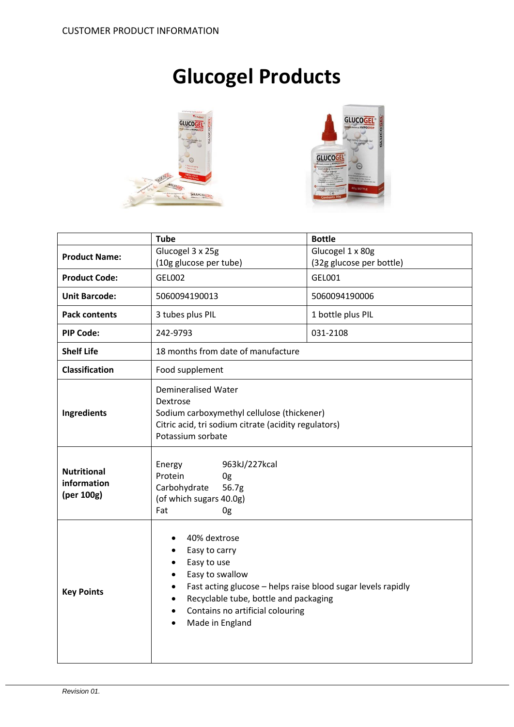# **Glucogel Products**





|                                                 | <b>Tube</b>                                                                                                                                                                                                                                                                                                        | <b>Bottle</b>            |  |
|-------------------------------------------------|--------------------------------------------------------------------------------------------------------------------------------------------------------------------------------------------------------------------------------------------------------------------------------------------------------------------|--------------------------|--|
| <b>Product Name:</b>                            | Glucogel 3 x 25g                                                                                                                                                                                                                                                                                                   | Glucogel 1 x 80g         |  |
|                                                 | (10g glucose per tube)                                                                                                                                                                                                                                                                                             | (32g glucose per bottle) |  |
| <b>Product Code:</b>                            | <b>GEL002</b>                                                                                                                                                                                                                                                                                                      | GEL001                   |  |
| <b>Unit Barcode:</b>                            | 5060094190013                                                                                                                                                                                                                                                                                                      | 5060094190006            |  |
| <b>Pack contents</b>                            | 3 tubes plus PIL                                                                                                                                                                                                                                                                                                   | 1 bottle plus PIL        |  |
| <b>PIP Code:</b>                                | 242-9793                                                                                                                                                                                                                                                                                                           | 031-2108                 |  |
| <b>Shelf Life</b>                               | 18 months from date of manufacture                                                                                                                                                                                                                                                                                 |                          |  |
| <b>Classification</b>                           | Food supplement                                                                                                                                                                                                                                                                                                    |                          |  |
| Ingredients                                     | <b>Demineralised Water</b><br>Dextrose<br>Sodium carboxymethyl cellulose (thickener)<br>Citric acid, tri sodium citrate (acidity regulators)<br>Potassium sorbate                                                                                                                                                  |                          |  |
| <b>Nutritional</b><br>information<br>(per 100g) | 963kJ/227kcal<br>Energy<br>Protein<br>0g<br>Carbohydrate<br>56.7g<br>(of which sugars 40.0g)<br>Fat<br>0g                                                                                                                                                                                                          |                          |  |
| <b>Key Points</b>                               | 40% dextrose<br>Easy to carry<br>٠<br>Easy to use<br>$\bullet$<br>Easy to swallow<br>$\bullet$<br>Fast acting glucose - helps raise blood sugar levels rapidly<br>$\bullet$<br>Recyclable tube, bottle and packaging<br>$\bullet$<br>Contains no artificial colouring<br>$\bullet$<br>Made in England<br>$\bullet$ |                          |  |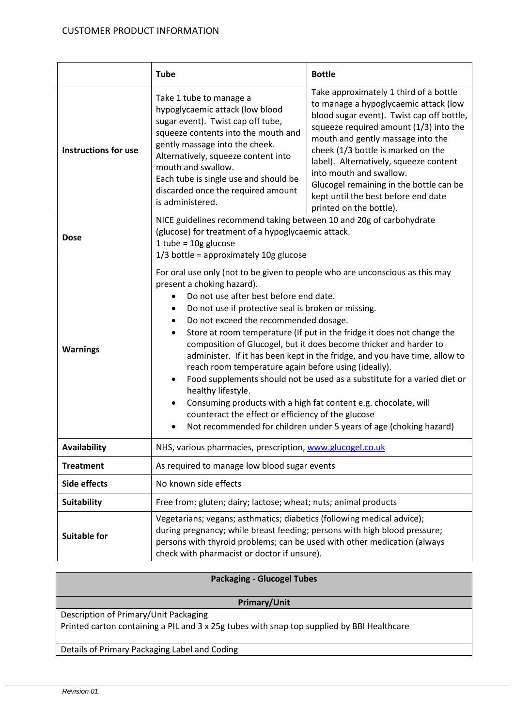|                             | <b>Tube</b>                                                                                                                                                                                                                                                                                                                                                                                                                                                                                                                                                                                                                                                                                                                                                                                                                                                               | <b>Bottle</b>                                                                                                                                                                                                                                                                                                                                                                                                                       |  |
|-----------------------------|---------------------------------------------------------------------------------------------------------------------------------------------------------------------------------------------------------------------------------------------------------------------------------------------------------------------------------------------------------------------------------------------------------------------------------------------------------------------------------------------------------------------------------------------------------------------------------------------------------------------------------------------------------------------------------------------------------------------------------------------------------------------------------------------------------------------------------------------------------------------------|-------------------------------------------------------------------------------------------------------------------------------------------------------------------------------------------------------------------------------------------------------------------------------------------------------------------------------------------------------------------------------------------------------------------------------------|--|
| <b>Instructions for use</b> | Take 1 tube to manage a<br>hypoglycaemic attack (low blood<br>sugar event). Twist cap off tube,<br>squeeze contents into the mouth and<br>gently massage into the cheek.<br>Alternatively, squeeze content into<br>mouth and swallow.<br>Each tube is single use and should be<br>discarded once the required amount<br>is administered.                                                                                                                                                                                                                                                                                                                                                                                                                                                                                                                                  | Take approximately 1 third of a bottle<br>to manage a hypoglycaemic attack (low<br>blood sugar event). Twist cap off bottle,<br>squeeze required amount (1/3) into the<br>mouth and gently massage into the<br>cheek (1/3 bottle is marked on the<br>label). Alternatively, squeeze content<br>into mouth and swallow.<br>Glucogel remaining in the bottle can be<br>kept until the best before end date<br>printed on the bottle). |  |
| <b>Dose</b>                 | NICE guidelines recommend taking between 10 and 20g of carbohydrate<br>(glucose) for treatment of a hypoglycaemic attack.<br>$1$ tube = $10g$ glucose<br>$1/3$ bottle = approximately $10g$ glucose                                                                                                                                                                                                                                                                                                                                                                                                                                                                                                                                                                                                                                                                       |                                                                                                                                                                                                                                                                                                                                                                                                                                     |  |
| <b>Warnings</b>             | For oral use only (not to be given to people who are unconscious as this may<br>present a choking hazard).<br>Do not use after best before end date.<br>Do not use if protective seal is broken or missing.<br>٠<br>Do not exceed the recommended dosage.<br>Store at room temperature (If put in the fridge it does not change the<br>$\bullet$<br>composition of Glucogel, but it does become thicker and harder to<br>administer. If it has been kept in the fridge, and you have time, allow to<br>reach room temperature again before using (ideally).<br>Food supplements should not be used as a substitute for a varied diet or<br>$\bullet$<br>healthy lifestyle.<br>Consuming products with a high fat content e.g. chocolate, will<br>counteract the effect or efficiency of the glucose<br>Not recommended for children under 5 years of age (choking hazard) |                                                                                                                                                                                                                                                                                                                                                                                                                                     |  |
| Availability                | NHS, various pharmacies, prescription, www.glucogel.co.uk                                                                                                                                                                                                                                                                                                                                                                                                                                                                                                                                                                                                                                                                                                                                                                                                                 |                                                                                                                                                                                                                                                                                                                                                                                                                                     |  |
| <b>Treatment</b>            | As required to manage low blood sugar events                                                                                                                                                                                                                                                                                                                                                                                                                                                                                                                                                                                                                                                                                                                                                                                                                              |                                                                                                                                                                                                                                                                                                                                                                                                                                     |  |
| Side effects                | No known side effects                                                                                                                                                                                                                                                                                                                                                                                                                                                                                                                                                                                                                                                                                                                                                                                                                                                     |                                                                                                                                                                                                                                                                                                                                                                                                                                     |  |
| <b>Suitability</b>          | Free from: gluten; dairy; lactose; wheat; nuts; animal products                                                                                                                                                                                                                                                                                                                                                                                                                                                                                                                                                                                                                                                                                                                                                                                                           |                                                                                                                                                                                                                                                                                                                                                                                                                                     |  |
| <b>Suitable for</b>         | Vegetarians; vegans; asthmatics; diabetics (following medical advice);<br>during pregnancy; while breast feeding; persons with high blood pressure;<br>persons with thyroid problems; can be used with other medication (always<br>check with pharmacist or doctor if unsure).                                                                                                                                                                                                                                                                                                                                                                                                                                                                                                                                                                                            |                                                                                                                                                                                                                                                                                                                                                                                                                                     |  |

| <b>Packaging - Glucogel Tubes</b>                                                          |  |  |
|--------------------------------------------------------------------------------------------|--|--|
|                                                                                            |  |  |
|                                                                                            |  |  |
| Primary/Unit                                                                               |  |  |
| Description of Primary/Unit Packaging                                                      |  |  |
| Printed carton containing a PIL and 3 x 25g tubes with snap top supplied by BBI Healthcare |  |  |
|                                                                                            |  |  |
| Details of Primary Packaging Label and Coding                                              |  |  |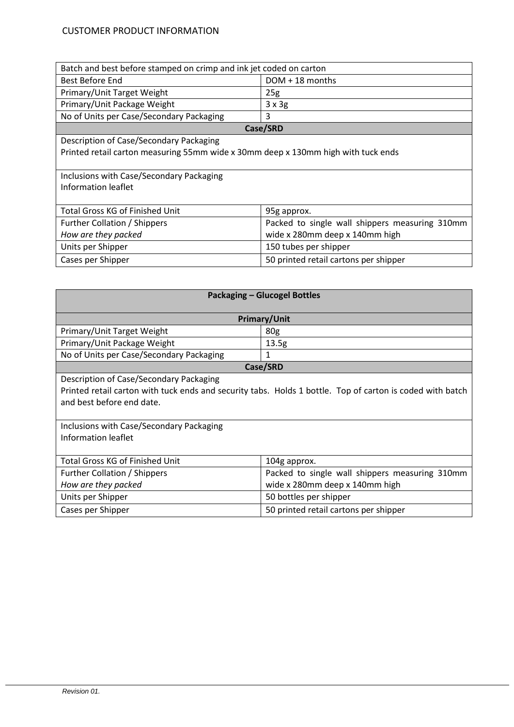# CUSTOMER PRODUCT INFORMATION

| Batch and best before stamped on crimp and ink jet coded on carton                |                                                |  |  |  |
|-----------------------------------------------------------------------------------|------------------------------------------------|--|--|--|
| Best Before End                                                                   | $DOM + 18$ months                              |  |  |  |
| Primary/Unit Target Weight                                                        | 25g                                            |  |  |  |
| Primary/Unit Package Weight                                                       | $3 \times 3g$                                  |  |  |  |
| No of Units per Case/Secondary Packaging                                          | 3                                              |  |  |  |
| Case/SRD                                                                          |                                                |  |  |  |
| Description of Case/Secondary Packaging                                           |                                                |  |  |  |
| Printed retail carton measuring 55mm wide x 30mm deep x 130mm high with tuck ends |                                                |  |  |  |
|                                                                                   |                                                |  |  |  |
| Inclusions with Case/Secondary Packaging                                          |                                                |  |  |  |
| Information leaflet                                                               |                                                |  |  |  |
|                                                                                   |                                                |  |  |  |
| <b>Total Gross KG of Finished Unit</b>                                            | 95g approx.                                    |  |  |  |
| Further Collation / Shippers                                                      | Packed to single wall shippers measuring 310mm |  |  |  |
| How are they packed                                                               | wide x 280mm deep x 140mm high                 |  |  |  |
| Units per Shipper                                                                 | 150 tubes per shipper                          |  |  |  |
| Cases per Shipper                                                                 | 50 printed retail cartons per shipper          |  |  |  |
|                                                                                   |                                                |  |  |  |

| <b>Packaging - Glucogel Bottles</b>                                                                       |                                                |  |  |  |
|-----------------------------------------------------------------------------------------------------------|------------------------------------------------|--|--|--|
| <b>Primary/Unit</b>                                                                                       |                                                |  |  |  |
| Primary/Unit Target Weight                                                                                | 80 <sub>g</sub>                                |  |  |  |
| Primary/Unit Package Weight                                                                               | 13.5g                                          |  |  |  |
| No of Units per Case/Secondary Packaging                                                                  | 1                                              |  |  |  |
| Case/SRD                                                                                                  |                                                |  |  |  |
| Description of Case/Secondary Packaging                                                                   |                                                |  |  |  |
| Printed retail carton with tuck ends and security tabs. Holds 1 bottle. Top of carton is coded with batch |                                                |  |  |  |
| and best before end date.                                                                                 |                                                |  |  |  |
|                                                                                                           |                                                |  |  |  |
| Inclusions with Case/Secondary Packaging                                                                  |                                                |  |  |  |
| Information leaflet                                                                                       |                                                |  |  |  |
|                                                                                                           |                                                |  |  |  |
| <b>Total Gross KG of Finished Unit</b>                                                                    | 104g approx.                                   |  |  |  |
| Further Collation / Shippers                                                                              | Packed to single wall shippers measuring 310mm |  |  |  |
| How are they packed                                                                                       | wide x 280mm deep x 140mm high                 |  |  |  |
| Units per Shipper                                                                                         | 50 bottles per shipper                         |  |  |  |
| Cases per Shipper                                                                                         | 50 printed retail cartons per shipper          |  |  |  |